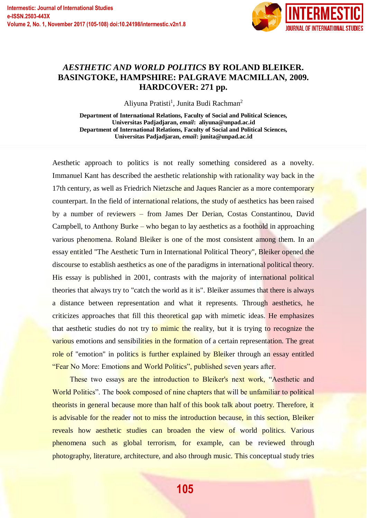

## *AESTHETIC AND WORLD POLITICS* **BY ROLAND BLEIKER. BASINGTOKE, HAMPSHIRE: PALGRAVE MACMILLAN, 2009. HARDCOVER: 271 pp.**

Aliyuna Pratisti<sup>1</sup>, Junita Budi Rachman<sup>2</sup>

**Department of International Relations, Faculty of Social and Political Sciences, Universitas Padjadjaran,** *email***: aliyuna@unpad.ac.id Department of International Relations, Faculty of Social and Political Sciences, Universitas Padjadjaran,** *email***: junita@unpad.ac.id**

Aesthetic approach to politics is not really something considered as a novelty. Immanuel Kant has described the aesthetic relationship with rationality way back in the 17th century, as well as Friedrich Nietzsche and Jaques Rancier as a more contemporary counterpart. In the field of international relations, the study of aesthetics has been raised by a number of reviewers – from James Der Derian, Costas Constantinou, David Campbell, to Anthony Burke – who began to lay aesthetics as a foothold in approaching various phenomena. Roland Bleiker is one of the most consistent among them. In an essay entitled "The Aesthetic Turn in International Political Theory", Bleiker opened the discourse to establish aesthetics as one of the paradigms in international political theory. His essay is published in 2001, contrasts with the majority of international political theories that always try to "catch the world as it is". Bleiker assumes that there is always a distance between representation and what it represents. Through aesthetics, he criticizes approaches that fill this theoretical gap with mimetic ideas. He emphasizes that aesthetic studies do not try to mimic the reality, but it is trying to recognize the various emotions and sensibilities in the formation of a certain representation. The great role of "emotion" in politics is further explained by Bleiker through an essay entitled "Fear No More: Emotions and World Politics", published seven years after.

These two essays are the introduction to Bleiker's next work, "Aesthetic and World Politics". The book composed of nine chapters that will be unfamiliar to political theorists in general because more than half of this book talk about poetry. Therefore, it is advisable for the reader not to miss the introduction because, in this section, Bleiker reveals how aesthetic studies can broaden the view of world politics. Various phenomena such as global terrorism, for example, can be reviewed through photography, literature, architecture, and also through music. This conceptual study tries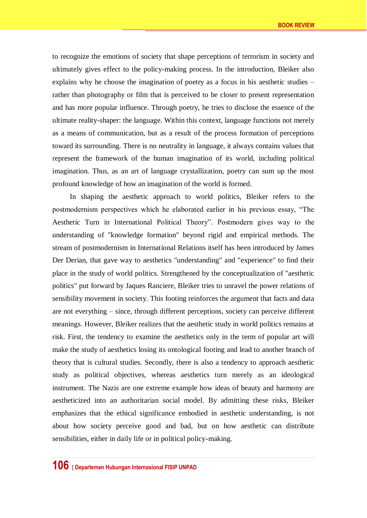to recognize the emotions of society that shape perceptions of terrorism in society and ultimately gives effect to the policy-making process. In the introduction, Bleiker also explains why he choose the imagination of poetry as a focus in his aesthetic studies – rather than photography or film that is perceived to be closer to present representation and has more popular influence. Through poetry, he tries to disclose the essence of the ultimate reality-shaper: the language. Within this context, language functions not merely as a means of communication, but as a result of the process formation of perceptions toward its surrounding. There is no neutrality in language, it always contains values that represent the framework of the human imagination of its world, including political imagination. Thus, as an art of language crystallization, poetry can sum up the most profound knowledge of how an imagination of the world is formed.

In shaping the aesthetic approach to world politics, Bleiker refers to the postmodernism perspectives which he elaborated earlier in his previous essay, "The Aesthetic Turn in International Political Theory". Postmodern gives way to the understanding of "knowledge formation" beyond rigid and empirical methods. The stream of postmodernism in International Relations itself has been introduced by James Der Derian, that gave way to aesthetics "understanding" and "experience" to find their place in the study of world politics. Strengthened by the conceptualization of "aesthetic politics" put forward by Jaques Ranciere, Bleiker tries to unravel the power relations of sensibility movement in society. This footing reinforces the argument that facts and data are not everything – since, through different perceptions, society can perceive different meanings. However, Bleiker realizes that the aesthetic study in world politics remains at risk. First, the tendency to examine the aesthetics only in the term of popular art will make the study of aesthetics losing its ontological footing and lead to another branch of theory that is cultural studies. Secondly, there is also a tendency to approach aesthetic study as political objectives, whereas aesthetics turn merely as an ideological instrument. The Nazis are one extreme example how ideas of beauty and harmony are aestheticized into an authoritarian social model. By admitting these risks, Bleiker emphasizes that the ethical significance embodied in aesthetic understanding, is not about how society perceive good and bad, but on how aesthetic can distribute sensibilities, either in daily life or in political policy-making.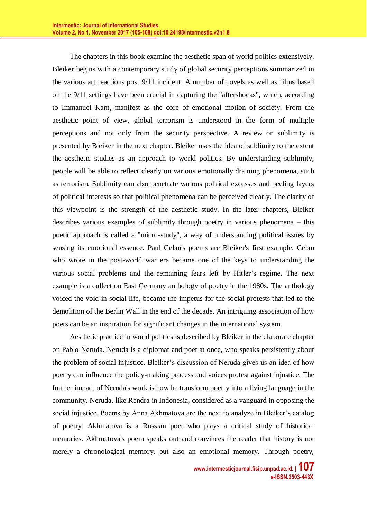The chapters in this book examine the aesthetic span of world politics extensively. Bleiker begins with a contemporary study of global security perceptions summarized in the various art reactions post 9/11 incident. A number of novels as well as films based on the 9/11 settings have been crucial in capturing the "aftershocks", which, according to Immanuel Kant, manifest as the core of emotional motion of society. From the aesthetic point of view, global terrorism is understood in the form of multiple perceptions and not only from the security perspective. A review on sublimity is presented by Bleiker in the next chapter. Bleiker uses the idea of sublimity to the extent the aesthetic studies as an approach to world politics. By understanding sublimity, people will be able to reflect clearly on various emotionally draining phenomena, such as terrorism. Sublimity can also penetrate various political excesses and peeling layers of political interests so that political phenomena can be perceived clearly. The clarity of this viewpoint is the strength of the aesthetic study. In the later chapters, Bleiker describes various examples of sublimity through poetry in various phenomena – this poetic approach is called a "micro-study", a way of understanding political issues by sensing its emotional essence. Paul Celan's poems are Bleiker's first example. Celan who wrote in the post-world war era became one of the keys to understanding the various social problems and the remaining fears left by Hitler's regime. The next example is a collection East Germany anthology of poetry in the 1980s. The anthology voiced the void in social life, became the impetus for the social protests that led to the demolition of the Berlin Wall in the end of the decade. An intriguing association of how poets can be an inspiration for significant changes in the international system.

Aesthetic practice in world politics is described by Bleiker in the elaborate chapter on Pablo Neruda. Neruda is a diplomat and poet at once, who speaks persistently about the problem of social injustice. Bleiker's discussion of Neruda gives us an idea of how poetry can influence the policy-making process and voices protest against injustice. The further impact of Neruda's work is how he transform poetry into a living language in the community. Neruda, like Rendra in Indonesia, considered as a vanguard in opposing the social injustice. Poems by Anna Akhmatova are the next to analyze in Bleiker's catalog of poetry. Akhmatova is a Russian poet who plays a critical study of historical memories. Akhmatova's poem speaks out and convinces the reader that history is not merely a chronological memory, but also an emotional memory. Through poetry,